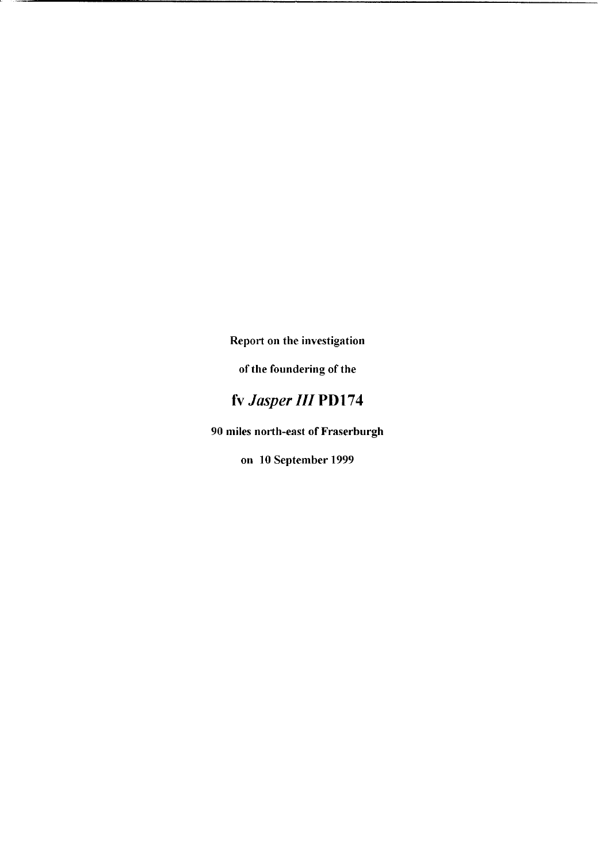**Report on the investigation** 

**of the foundering of the** 

# **fv** *Jasper III* **PD174**

**90 miles north-east of Fraserburgh** 

**on 10 September 1999**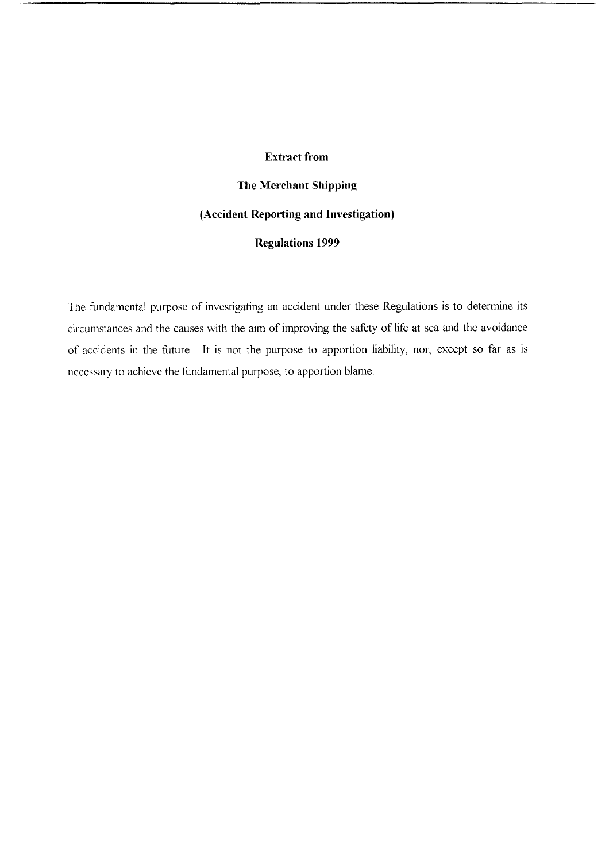### **Extract from**

**The Merchant Shipping (Accident Reporting and Investigation) Regulations 1999** 

The fundamental purpose of investigating an accident under these Regulations is to determine its circumstances and the causes with the aim of improving the safety of life at sea and the avoidance of accidents in the future. It is not the purpose to apportion liability, nor, except so far as is necessary to achieve the fundamental purpose, to apportion blame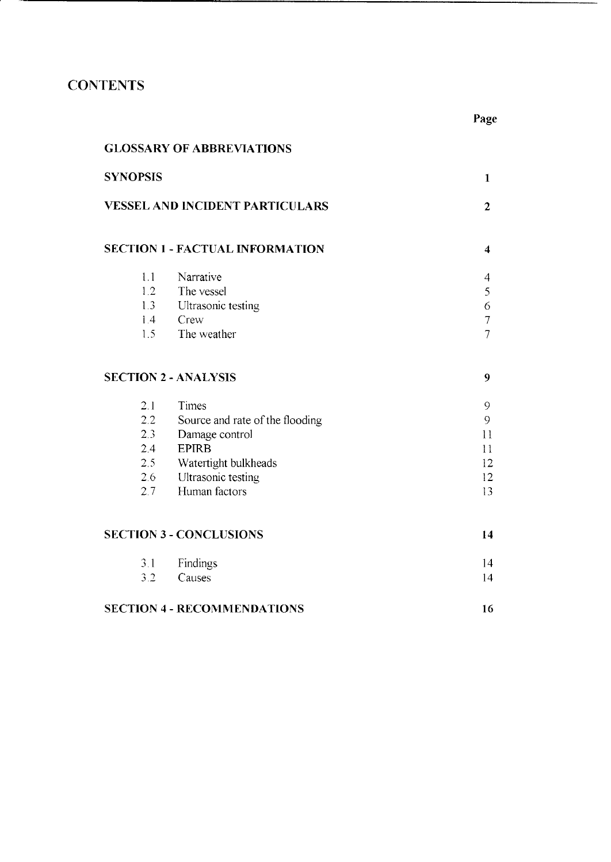## **CONTENTS**

3 1 [Findings](#page-19-0)  3 2 [Causes](#page-19-0) 

**SECTION 4** - **[RECOMMENDATIONS](#page-21-0)** 

| <b>GLOSSARY OF ABBREVIATIONS</b>                                                            |                                 |                |  |  |  |
|---------------------------------------------------------------------------------------------|---------------------------------|----------------|--|--|--|
| <b>SYNOPSIS</b><br>$\mathbf{1}$<br><b>VESSEL AND INCIDENT PARTICULARS</b><br>$\overline{2}$ |                                 |                |  |  |  |
|                                                                                             |                                 |                |  |  |  |
| 1.1                                                                                         | Narrative                       | 4              |  |  |  |
| 1.2                                                                                         | The vessel                      | 5              |  |  |  |
| 1.3                                                                                         | Ultrasonic testing              | 6              |  |  |  |
| $1.4 -$                                                                                     | Crew                            | 7              |  |  |  |
| 1.5                                                                                         | The weather                     | $\overline{7}$ |  |  |  |
|                                                                                             | <b>SECTION 2 - ANALYSIS</b>     | 9              |  |  |  |
| 2.1                                                                                         | Times                           | 9              |  |  |  |
| 2.2<br>Source and rate of the flooding                                                      |                                 |                |  |  |  |
|                                                                                             | 2.3<br>Damage control           |                |  |  |  |
| 2.4                                                                                         | <b>EPIRB</b>                    |                |  |  |  |
|                                                                                             | $2.5 -$<br>Watertight bulkheads |                |  |  |  |
|                                                                                             | Ultrasonic testing<br>2.6       |                |  |  |  |
| 2.7                                                                                         | Human factors                   | 13             |  |  |  |
|                                                                                             | <b>SECTION 3 - CONCLUSIONS</b>  | 14             |  |  |  |

**Page** 

14 14

**16**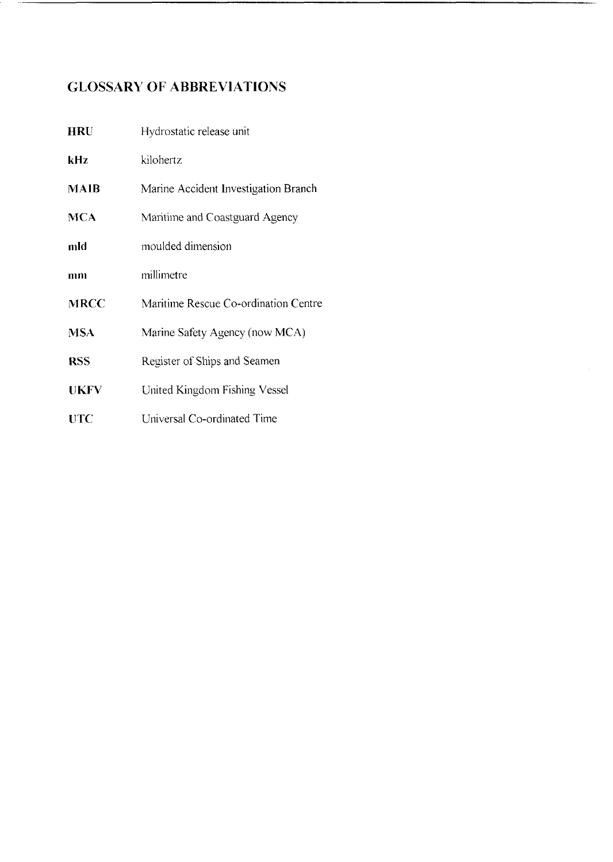## <span id="page-3-0"></span>**GLOSSARY OF ABBREVIATIONS**

| <b>HRU</b>  | Hydrostatic release unit             |  |
|-------------|--------------------------------------|--|
| kHz         | kilohertz                            |  |
| MAIB        | Marine Accident Investigation Branch |  |
| <b>MCA</b>  | Maritime and Coastguard Agency       |  |
| mld         | moulded dimension                    |  |
| mn          | millimetre                           |  |
| <b>MRCC</b> | Maritime Rescue Co-ordination Centre |  |
| <b>MSA</b>  | Marine Safety Agency (now MCA)       |  |
| <b>RSS</b>  | Register of Ships and Seamen         |  |
| <b>UKFV</b> | United Kingdom Fishing Vessel        |  |
| <b>UTC</b>  | Universal Co-ordinated Time          |  |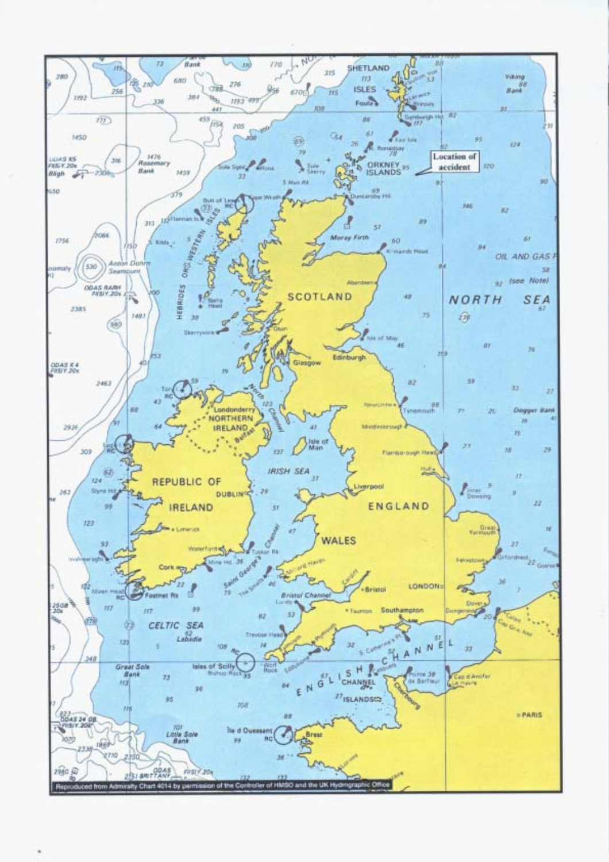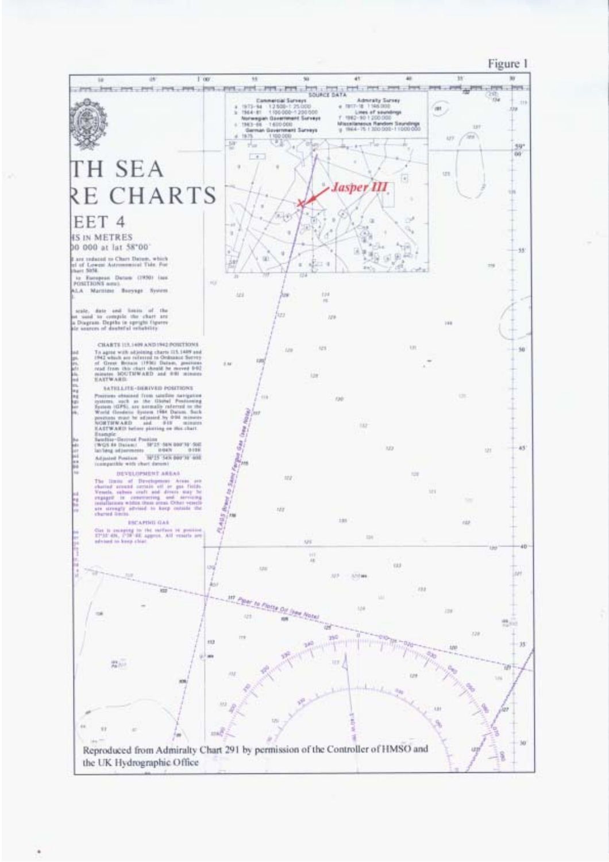Figure 1

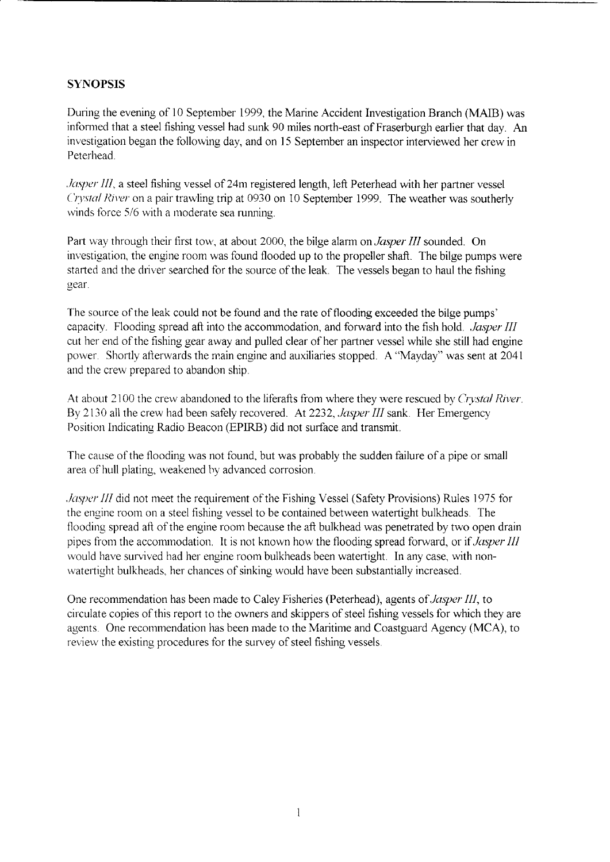### <span id="page-6-0"></span>**SYNOPSIS**

During the evening of 10 September 1999, the Marine Accident Investigation Branch (MAIB) was informed that a steel fishing vessel had *sunk* 90 miles north-east of Fraserburgh earlier that day. *An*  investigation began the following day, and on 15 September an inspector interviewed her crew in Peterhead

*Jasper III*, a steel fishing vessel of 24m registered length, left Peterhead with her partner vessel *Crystal River* on a pair trawling trip at 0930 on 10 September 1999. The weather was southerly winds force 5/6 with a moderate sea running.

Part way through their first tow, at about 2000, the bilge alarm on *Jasper III* sounded. On investigation, the engine room was found flooded up to the propeller shaft. The bilge pumps were started and the driver searched for the source of the leak. The vessels began to haul the fishing gear

The source of the leak could not be found and the rate of flooding exceeded the bilge pumps' capacity Flooding spread aft into the accommodation, and forward into the fish hold *Jasper* III cut her end of the fishing gear away and pulled clear of her partner vessel while she still had engine power. Shortly afterwards the main engine and auxiliaries stopped. A "Mayday" was sent at 2041 and the crew prepared to abandon ship

At about 2100 the crew abandoned to the liferafts from where they were rescued by *Crystal River*. By 2130 all the crew had been safely recovered. At 2232, *Jasper III* sank. Her Emergency Position Indicating Radio Beacon (EPIRB) did not surface and transmit

The cause of the flooding was not found, but was probably the sudden failure of a pipe or small area of hull plating, weakened by advanced corrosion.

*Jasper* III did not meet the requirement of the Fishing Vessel (Safety Provisions) Rules 1975 for the engine room on a steel fishing vessel to be contained between watertight bulkheads. The flooding spread aft of the engine room because the aft bulkhead was penetrated by two open drain pipes from the accommodation It is not known how the flooding spread forward, or if *Jasper III*  would have survived had her engine room bulkheads been watertight. In any case, with nonwatertight bulkheads, her chances of sinking would have been substantially increased.

One recommendation has been made to Caley Fisheries (Peterhead), agents *of Jasper III,* to circulate copies of this report to the owners and skippers of steel fishing vessels for which they are agents. One recommendation has been made to the Maritime and Coastguard Agency (MCA), to review the existing procedures for the survey of steel fishing vessels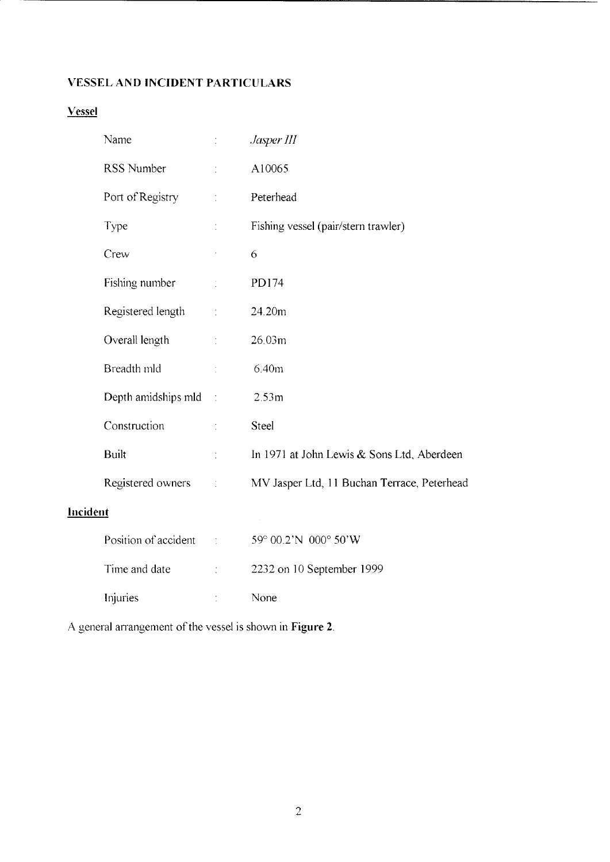## **VESSEL AND INCIDENT PARTICULARS**

## **Vessel**

|                 | Name                  | $\ddot{\cdot}$       | Jasper III                                  |  |
|-----------------|-----------------------|----------------------|---------------------------------------------|--|
|                 | RSS Number            | ÷                    | A10065                                      |  |
|                 | Port of Registry      | ÷.                   | Peterhead                                   |  |
|                 | Type                  | t                    | Fishing vessel (pair/stern trawler)         |  |
|                 | Crew                  |                      | 6                                           |  |
|                 | Fishing number        | ÷.                   | PD174                                       |  |
|                 | Registered length     | $\ddot{\ddot{\psi}}$ | 24.20m                                      |  |
|                 | Overall length        | ÷.                   | 26.03m                                      |  |
|                 | Breadth mld           |                      | 6.40m                                       |  |
|                 | Depth amidships mld : |                      | 2.53m                                       |  |
|                 | Construction          | $\dot{\mathbb{I}}$   | <b>Steel</b>                                |  |
|                 | <b>Built</b>          | t                    | In 1971 at John Lewis & Sons Ltd, Aberdeen  |  |
|                 | Registered owners     | $\frac{1}{\sqrt{2}}$ | MV Jasper Ltd, 11 Buchan Terrace, Peterhead |  |
| <b>Incident</b> |                       |                      |                                             |  |
|                 | Position of accident  | $\frac{1}{2}$        | 59° 00.2'N 000° 50'W                        |  |
|                 | Time and date         |                      | 2232 on 10 September 1999                   |  |
|                 | Injuries              |                      | None                                        |  |

A general arrangement of the vessel is shown in **Figure 2**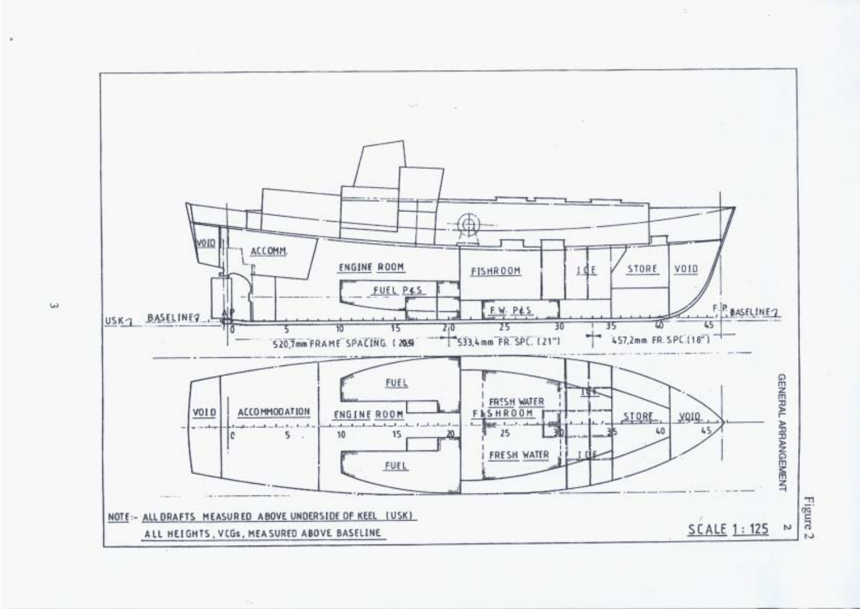

 $\omega$ 

.

Figure 2

o.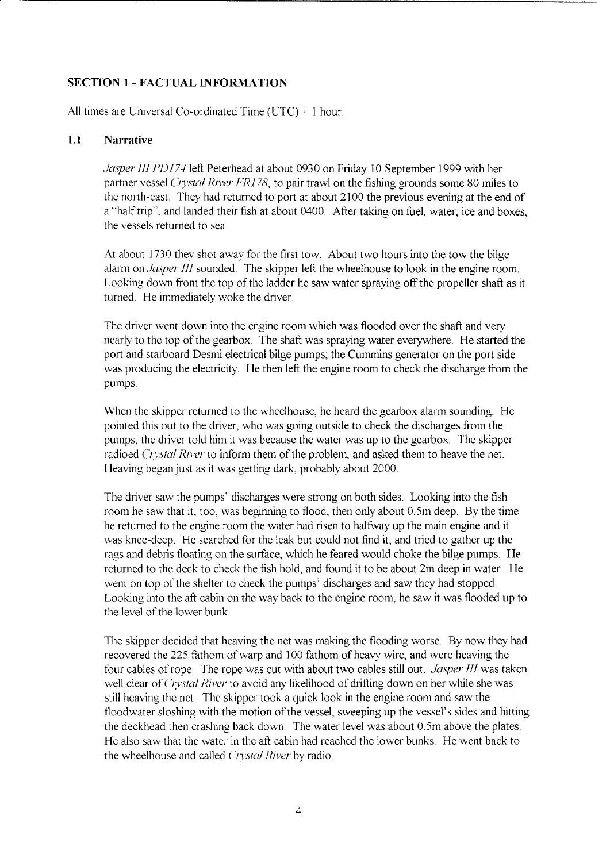### <span id="page-9-0"></span>**SECTION 1** - **FACTUAL INFORMATION**

All times are Universal Co-ordinated Time (UTC) + 1 hour.

#### **1.1 Narrative**

*Jasper III PD174* left Peterhead at about 0930 on Friday 10 September 1999 with her partner vessel *Crystal River FRI* 78, to pair trawl on the fishing grounds some 80 miles to the north-east. They had returned to port at about 2100 the previous evening at the end of a "half trip", and landed their fish at about 0400. After taking on fuel, water, ice and boxes, the vessels returned to sea

At about 1730 they shot away for the first tow. About two hours into the tow the bilge alarm on *Jasper III* sounded. The skipper left the wheelhouse to look in the engine room. Looking down from the top of the ladder he saw water spraying off the propeller shaft as it turned. He immediately woke the driver.

The driver went down into the engine room which was flooded over the shaft and very nearly to the top of the gearbox The shaft was spraying water everywhere. He started the port and starboard Desmi electrical bilge pumps; the Cummins generator on the port side was producing the electricity. He then left the engine room to check the discharge from the pumps

When the skipper returned to the wheelhouse, he heard the gearbox alarm sounding. He pointed this out to the driver, who was going outside to check the discharges from the pumps, the driver told him it was because the water was up to the gearbox The skipper radioed *Crystal River* to inform them of the problem, and asked them to heave the net. Heaving began just as it was getting dark, probably about 2000.

The driver saw the pumps' discharges were strong on both sides. Looking into the fish room he saw that it, too, was beginning to flood, then only about 0.5m deep. By the time he returned to the engine room the water had risen to halfway up the main engine and it was knee-deep. He searched for the leak but could not find it; and tried to gather up the rags and debris floating on the surface, which he feared would choke the bilge pumps. He returned to the deck to check the fish hold, and found it to be about 2m deep in water. He went on top of the shelter to check the pumps' discharges and saw they had stopped. Looking into the aft cabin on the way back to the engine room, he saw it was flooded up to the level of the lower bunk.

The skipper decided that heaving the net was making the flooding worse. By now they had recovered the 225 fathom of warp and 100 fathom of heavy wire, and were heaving the four cables of rope. The rope was cut with about two cables still out. *Jasper III* was taken well clear of *Crystal River* to avoid any likelihood of drifting down on her while she was still heaving the net. The skipper took a quick look in the engine room and saw the floodwater sloshing with the motion of the vessel, sweeping up the vessel's sides and hitting the deckhead then crashing back down. The water level was about 0.Sm above the plates. He also saw that the water in the aft cabin had reached the lower bunks. He went back to the wheelhouse and called *Crystal River* by radio.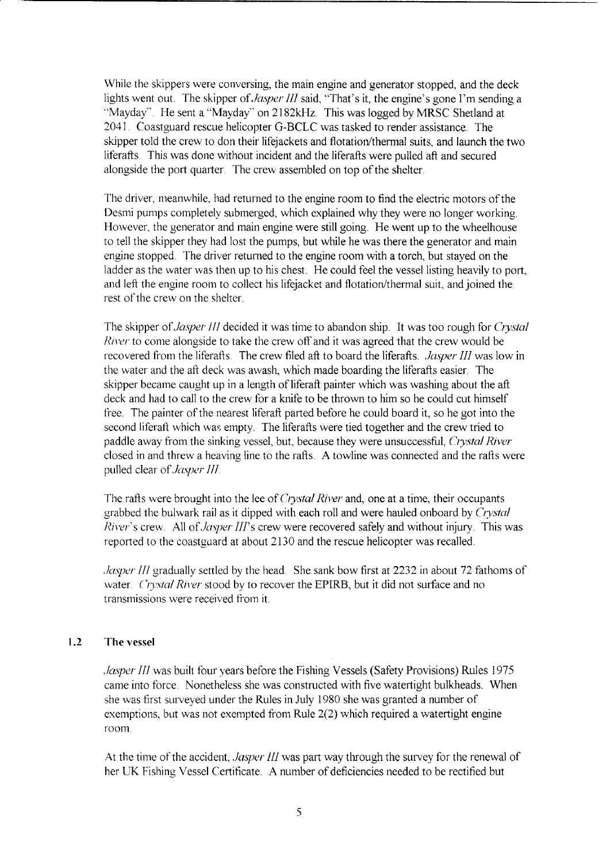While the skippers were conversing, the main engine and generator stopped, and the deck lights went out. The skipper of *Jasper III* said, "That's it, the engine's gone I'm sending a "Mayday". He sent a "Mayday" on 2182kHz. This was logged by MRSC Shetland at 2041. Coastguard rescue helicopter G-BCLC was tasked to render assistance. The skipper told the crew to don their lifejackets and flotation/thermal suits, and launch the two liferafts. This was done without incident and the liferafts were pulled aft and secured alongside the port quarter. The crew assembled on top of the shelter.

The driver, meanwhile, had returned to the engine room to find the electric motors of the Desmi pumps completely submerged, which explained why they were no longer working However, the generator and main engine were still going. He went up to the wheelhouse to tell the skipper they had lost the pumps, but while he was there the generator and main engine stopped. The driver returned to the engine room with a torch, but stayed on the ladder as the water was then up to his chest. He could feel the vessel listing heavily to port, and left the engine room to collect his lifejacket and flotation/thermal suit, and joined the rest of the crew on the shelter

The skipper of *Jasper III* decided it was time to abandon ship. It was too rough for *Crystal River* to come alongside to take the crew off and it was agreed that the crew would be recovered from the liferafts. The crew filed aft to board the liferafts. *Jasper III* was low in the water and the aft deck was awash, which made boarding the liferafts easier. The skipper became caught up in a length of liferaft painter which was washing about the aft deck and had to call to the crew for a knife to be thrown to him so he could cut himself free. The painter of the nearest liferaft parted before he could board it, so he got into the second liferaft which was empty. The liferafts were tied together and the crew tried to paddle away from the sinking vessel, but, because they were unsuccessful, *Crystal River*  closed in and threw a heaving line to the rafts. **A** towline was connected and the rafts were pulled clear of *Jasper III* 

The rafts were brought into the lee of *Crystal River* and, one at a time, their occupants grabbed the bulwark rail as it dipped with each roll and were hauled onboard by *Crystal River's* crew. **All** *of Jasper III's* crew were recovered safely and without injury. This was reported to the coastguard at about 2130 and the rescue helicopter was recalled.

*Jasper III* gradually settled by the head. She sank bow first at 2232 in about 72 fathoms of water. *Crystal River* stood by to recover the EPIRB, but it did not surface and no transmissions were received from it.

#### **1.2 The vessel**

*Jasper III* was built four years before the Fishing Vessels (Safety Provisions) Rules 1975 came into force. Nonetheless she was constructed with five watertight bulkheads. When she was first surveyed under the Rules in July 1980 she was granted a number of exemptions, but was not exempted from Rule 2(2) which required a watertight engine room

At the time of the accident, *Jasper III* was part way through the survey for the renewal of her UK Fishing Vessel Certificate **A** number of deficiencies needed to be rectified but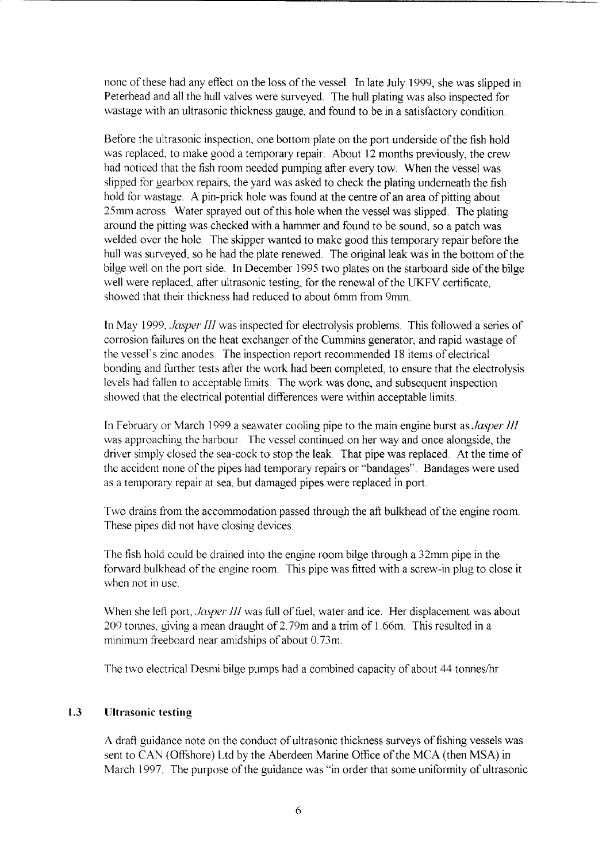none of these had any effect on the loss of the vessel. In late July 1999, she was slipped in Peterhead and all the hull valves were surveyed. The hull plating was also inspected for wastage with an ultrasonic thickness gauge, and found to be in a satisfactory condition.

Before the ultrasonic inspection, one bottom plate on the port underside of the fish hold was replaced, to make good a temporary repair. About 12 months previously, the crew had noticed that the fish room needed pumping after every tow. When the vessel was slipped for gearbox repairs, the yard was asked to check the plating underneath the fish hold for wastage. **A** pin-prick hole was found at the centre of an area of pitting about 25mm across. Water sprayed out of this hole when the vessel was slipped. The plating around the pitting was checked with a hammer and found to be sound, so a patch was welded over the hole. The skipper wanted to make good this temporary repair before the hull was surveyed, so he had the plate renewed. The original leak was in the bottom of the bilge well on the port side. In December 1995 two plates on the starboard side of the bilge well were replaced, after ultrasonic testing, for the renewal of the UKFV certificate, showed that their thickness had reduced to about 6mm from 9mm.

In May 1999, *Jasper III* was inspected for electrolysis problems. This followed a series of corrosion failures on the heat exchanger of the Cummins generator, and rapid wastage of the vessel's zinc anodes The inspection report recommended 18 items of electrical bonding and further tests after the work had been completed, to ensure that the electrolysis levels had fallen to acceptable limits. The work was done, and subsequent inspection showed that the electrical potential differences were within acceptable limits

In February or March 1999 a seawater cooling pipe to the main engine burst as *Jasper III*  was approaching the harbour. The vessel continued on her way and once alongside, the driver simply closed the sea-cock to stop the leak. That pipe was replaced. At the time of the accident none of the pipes had temporary repairs or "bandages". Bandages were used as a temporary repair at sea, but damaged pipes were replaced in port.

Two drains from the accommodation passed through the aft bulkhead of the engine room. These pipes did not have closing devices.

The fish hold could be drained into the engine room bilge through a 32mm pipe in the forward bulkhead of the engine room. This pipe was fitted with a screw-in plug to close it when not in use.

When she left port, *Jasper III* was full of fuel, water and ice. Her displacement was about 209 tonnes, giving a mean draught of 2.79m and a trim of 1.66m. This resulted in a minimum freeboard near amidships of about 0.73m.

The two electrical Desmi bilge pumps had a combined capacity of about 44 tonnes/hr

#### **1.3 Ultrasonic testing**

A draft guidance note on the conduct of ultrasonic thickness surveys of fishing vessels was sent to CAN (Offshore) Ltd by the Aberdeen Marine Office of the MCA (then MSA) in March 1997. The purpose of the guidance was "in order that some uniformity of ultrasonic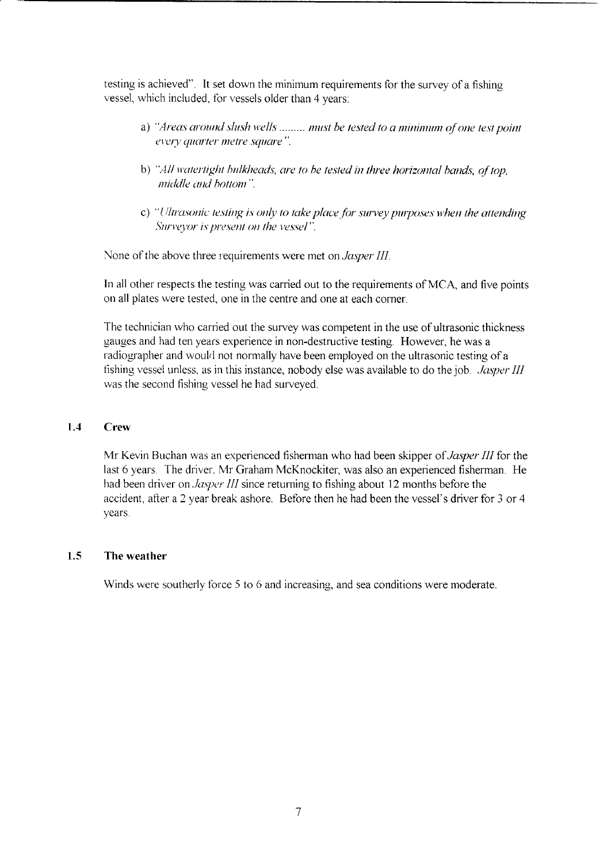testing is achieved". It set down the minimum requirements for the survey of a fishing vessel, which included, for vessels older than 4 years:

- a) "Areas around slush wells ......... must be tested to a minimum of one test point every quarter metre square".
- b) "All watertight bulkheads, are to be tested in three horizontal bands, of top. middle and bottom".
- c) "Ultrasonic testing is only to take place for survey purposes when the attending Surveyor is present on the vessel".

None of the above three requirements were met on *Jasper III* 

In all other respects the testing was carried out to the requirements of MCA, and five points on all plates were tested, one in the centre and one at each corner.

The technician who carried out the survey was competent in the use of ultrasonic thickness gauges and had ten years experience in non-destructive testing. However, he was a radiographer and would not normally have been employed on the ultrasonic testing of a fishing vessel unless, as in this instance, nobody else was available to do the job *Jasper III*  was the second fishing vessel he had surveyed

#### **1.4 Crew**

Mr Kevin Buchan was an experienced fisherman who had been skipper *of Jasper* III for the last 6 years. The driver. Mr Graham McKnockiter, was also an experienced fisherman. He had been driver on *Jasper III* since returning to fishing about 12 months before the accident, after a 2 year break ashore. Before then he had been the vessel's driver for *3* or 4 years.

#### **1.5 The weather**

Winds were southerly force *5* to 6 and increasing, and sea conditions were moderate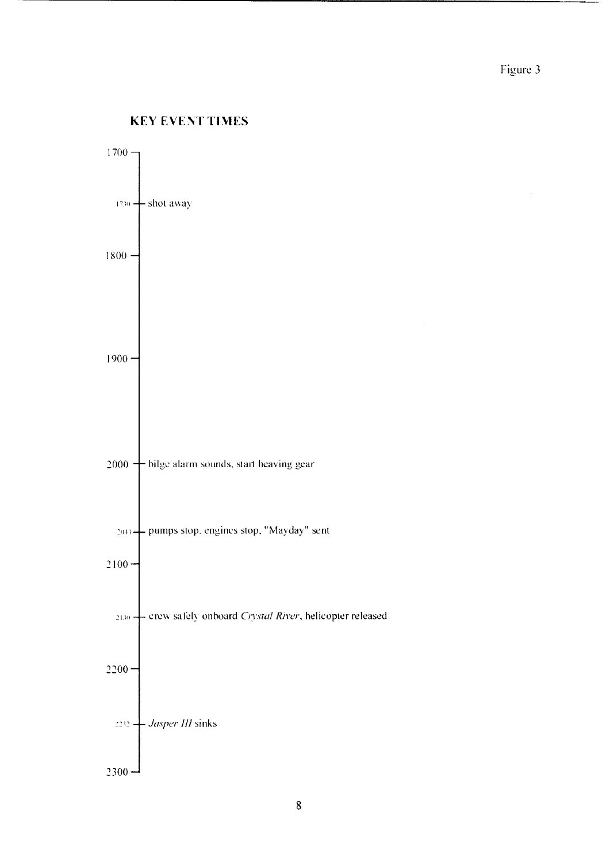$\ddot{\phantom{a}}$ 

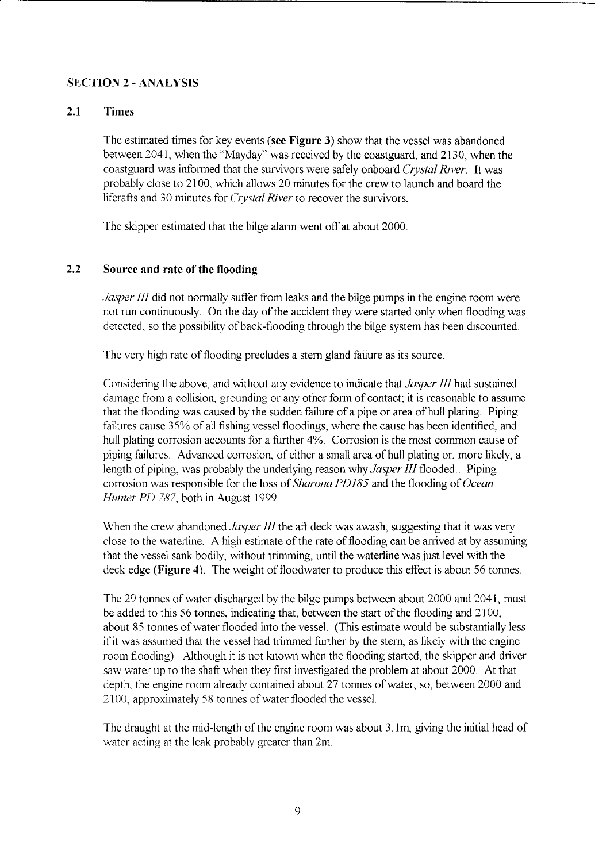#### <span id="page-14-0"></span>**SECTION 2** - **ANALYSIS**

### **2.1 Times**

The estimated times for key events **(see Figure 3)** show that the vessel was abandoned between 2041, when the "Mayday" was received by the coastguard, and 21 30, when the coastguard was informed that the survivors were safely onboard *Crystal River* It was probably close to 2100, which allows 20 minutes for the crew to launch and board the liferafts and 30 minutes for *Crystal River* to recover the survivors.

The skipper estimated that the bilge alarm went off at about 2000

#### **2.2 Source and rate of the flooding**

*Jasper III* did not normally suffer from leaks and the bilge pumps in the engine room were not run continuously. On the day of the accident they were started only when flooding was detected, so the possibility of back-flooding through the bilge system has been discounted.

The very high rate of flooding precludes a stern gland failure as its source

Considering the above, and without any evidence to indicate that *Jasper III* had sustained damage from a collision, grounding or any other form of contact; it is reasonable to assume that the flooding was caused by the sudden failure of a pipe or area of hull plating. Piping failures cause 35% of all fishing vessel floodings, where the cause has been identified, and hull plating corrosion accounts for a further  $4\%$ . Corrosion is the most common cause of piping failures. Advanced corrosion, of either a small area of hull plating or, more likely, a length of piping, was probably the underlying reason why *Jasper III* flooded.. Piping corrosion was responsible for the loss of *Sharona PD185* and the flooding of *Ocean Hunter PD 787,* both in August 1999.

When the crew abandoned *Jasper III* the aft deck was awash, suggesting that it was very close to the waterline **A** high estimate of the rate of flooding can be arrived at by assuming that the vessel sank bodily, without trimming, until the waterline was just level with the deck edge (**Figure 4**). The weight of floodwater to produce this effect is about 56 tonnes.

The 29 tonnes of water discharged by the bilge pumps between about 2000 and 2041, must be added to this 56 tonnes, indicating that, between the start of the flooding and 2100, about 85 tonnes of water flooded into the vessel. (This estimate would be substantially less if it was assumed that the vessel had trimmed further by the stern, as likely with the engine room flooding) Although it is not known when the flooding started, the skipper and driver saw water up to the shaft when they first investigated the problem at about 2000. At that depth, the engine room already contained about 27 tonnes of water, so, between 2000 and 2 100, approximately 58 tonnes of water flooded the vessel

The draught at the mid-length of the engine room was about 3. lm, giving the initial head of water acting at the leak probably greater than 2m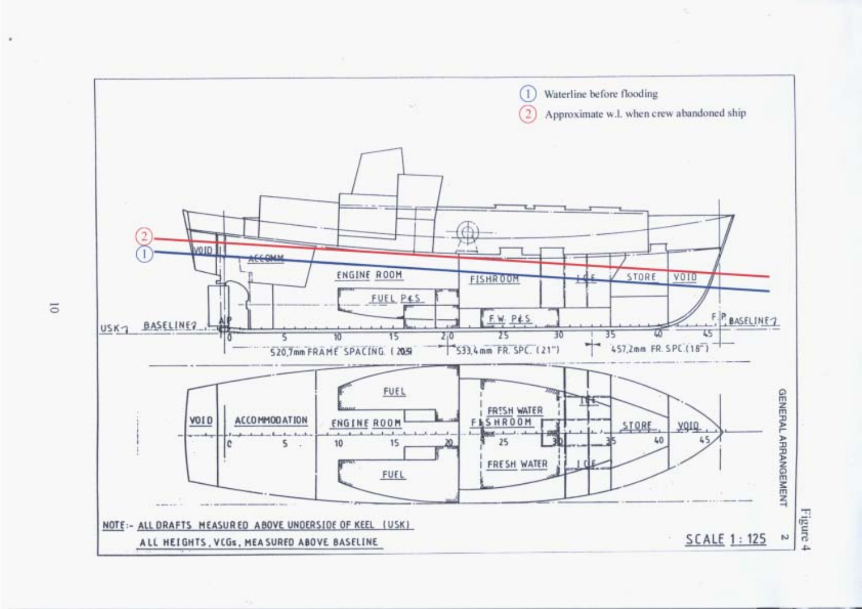

 $\overline{\circ}$ 

٠

Figure 4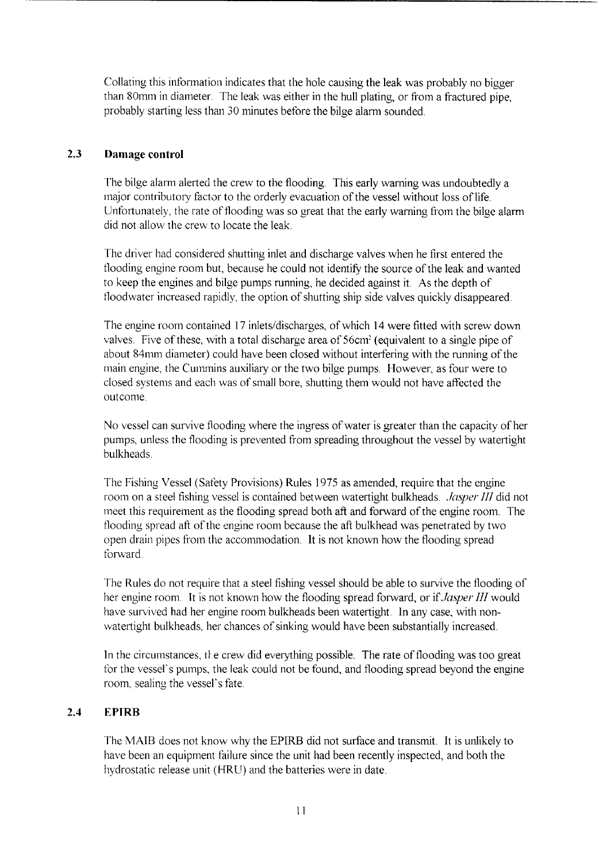<span id="page-16-0"></span>Collating this information indicates that the hole causing the leak was probably no bigger than 80mm in diameter. The leak was either in the hull plating, or from a fractured pipe, probably starting less than *30* minutes before the bilge alarm sounded.

#### **2.3 Damage control**

The bilge alarm alerted the crew to the flooding. This early warning was undoubtedly a major contributory factor to the orderly evacuation of the vessel without loss of life. Unfortunately, the rate of flooding was so great that the early warning from the bilge alarm did not allow the crew to locate the leak.

The driver had considered shutting inlet and discharge valves when he first entered the flooding engine room but, because he could not identify the source of the leak and wanted to keep the engines and bilge pumps running, he decided against it. **As** the depth of floodwater increased rapidly, the option of shutting ship side valves quickly disappeared.

The engine room contained 17 inlets/discharges, of which 14 were fitted with screw down valves. Five of these, with a total discharge area of 56cm<sup>2</sup> (equivalent to a single pipe of about 84mm diameter) could have been closed without interfering with the running of the main engine, the Cummins auxiliary or the two bilge pumps. However, as four were to closed systems and each was of small bore, shutting them would not have affected the outcome

No vessel can survive flooding where the ingress of water is greater than the capacity of her pumps, unless the flooding is prevented from spreading throughout the vessel by watertight bulkheads

The Fishing Vessel (Safety Provisions) Rules 1975 as amended, require that the engine room on a steel fishing vessel is contained between watertight bulkheads *Jasper III* did not meet this requirement as the flooding spread both aft and forward of the engine room The flooding spread aft of the engine room because the aft bulkhead was penetrated by two open drain pipes from the accommodation. It is not known how the flooding spread forward

The Rules do not require that a steel fishing vessel should be able to survive the flooding of her engine room. It is not known how the flooding spread forward, or if *Jasper III* would have survived had her engine room bulkheads been watertight. In any case, with nonwatertight bulkheads, her chances of sinking would have been substantially increased.

In the circumstances, *th* e crew did everything possible. The rate of flooding was too great for the vessel's pumps, the leak could not be found, and flooding spread beyond the engine room, sealing the vessel's fate

#### **2.4 EPIRB**

The MAIB does not know why the EPIRB did not surface and transmit. It is unlikely to have been an equipment failure since the unit had been recently inspected, and both the hydrostatic release unit (HRU) and the batteries were in date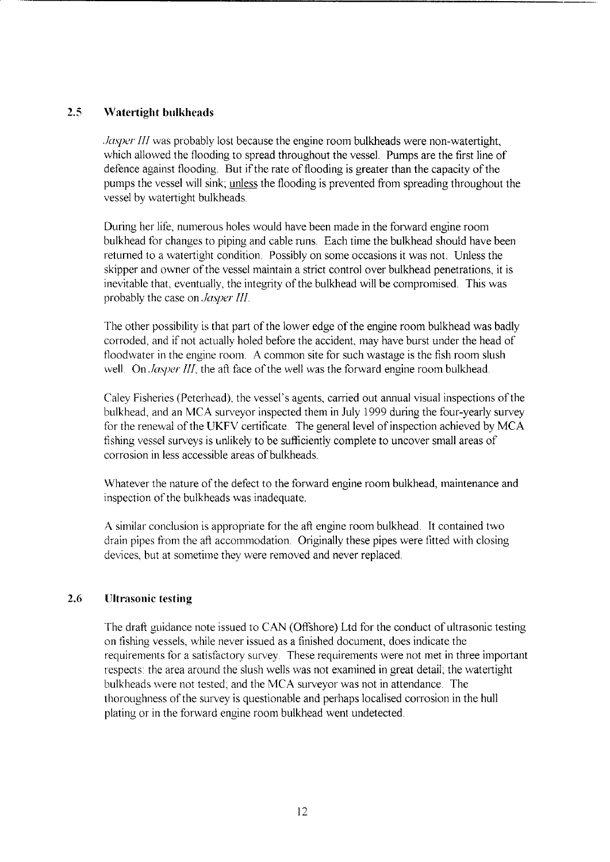#### <span id="page-17-0"></span>**2.5 Watertight bulkheads**

. *Jasper III* was probably lost because the engine room bulkheads were non-watertight, which allowed the flooding to spread throughout the vessel. Pumps are the first line of defence against flooding. But if the rate of flooding is greater than the capacity of the pumps the vessel will sink; unless the flooding is prevented from spreading throughout the vessel by watertight bulkheads

During her life, numerous holes would have been made in the forward engine room bulkhead for changes to piping and cable runs. Each time the bulkhead should have been returned to a watertight condition. Possibly on some occasions it was not. Unless the skipper and owner of the vessel maintain a strict control over bulkhead penetrations, it is inevitable that, eventually, the integrity of the bulkhead will be compromised. This was probably the case on *Jasper III* 

The other possibility is that part of the lower edge of the engine room bulkhead was badly corroded, and if not actually holed before the accident, may have burst under the head of floodwater in the engine room **A** common site for such wastage is the fish room slush well. On *Jasper III*, the aft face of the well was the forward engine room bulkhead.

Caley Fisheries (Peterhead), the vessel's agents, carried out annual visual inspections of the bulkhead, and an **MCA** surveyor inspected them in July 1999 during the four-yearly survey for the renewal of the UKFV certificate. The general level of inspection achieved by MCA fishing vessel surveys is unlikely to be sufficiently complete to uncover small areas of corrosion in less accessible areas of bulkheads.

Whatever the nature of the defect to the forward engine room bulkhead, maintenance and inspection of the bulkheads was inadequate.

**A** similar conclusion is appropriate for the aft engine room bulkhead. It contained two drain pipes from the aft accommodation. Originally these pipes were fitted with closing devices, but at sometime they were removed and never replaced.

#### **2.6 Ultrasonic testing**

The draft guidance note issued to *CAN* (Offshore) Ltd for the conduct of ultrasonic testing on fishing vessels, while never issued as a finished document, does indicate the requirements for a satisfactory survey. These requirements were not met in three important respects: the area around the slush wells was not examined in great detail; the watertight bulkheads were not tested; and the **MCA** surveyor was not in attendance. The thoroughness of the survey is questionable and perhaps localised corrosion in the hull plating or in the forward engine room bulkhead went undetected.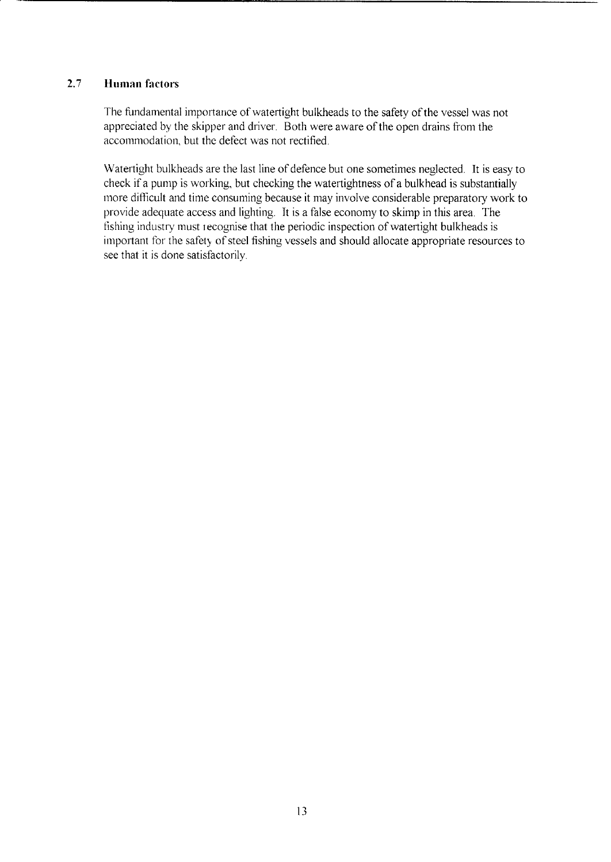#### <span id="page-18-0"></span>*2.7* **Human factors**

The fundamental importance of watertight bulkheads to the safety of the vessel was not appreciated by the skipper and driver. Both were aware of the open drains from the accommodation, but the defect was not rectified.

Watertight bulkheads are the last line of defence but one sometimes neglected. It is easy to check if a pump is working, but checking the watertightness of a bulkhead is substantially more difficult and time consuming because it may involve considerable preparatory work to provide adequate access and lighting. It is a false economy to skimp in this area. The fishing industry must recognise that the periodic inspection of watertight bulkheads is important for the safety of steel fishing vessels and should allocate appropriate resources to see that it is done satisfactorily.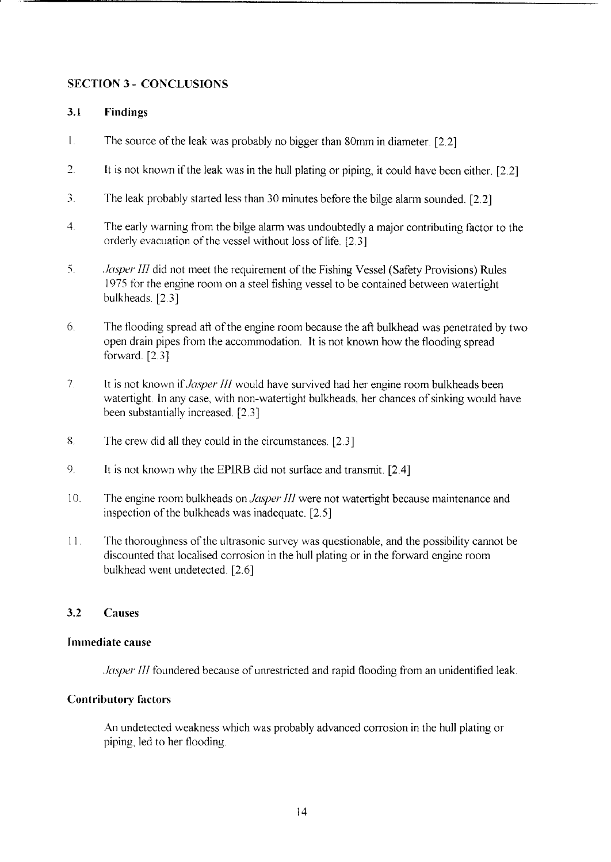#### <span id="page-19-0"></span>**SECTION 3** - **CONCLUSIONS**

#### **3.1 Findings**

- $\mathbf{I}$ The source of the leak was probably no bigger than 80mm in diameter.  $[2.2]$
- *2*  It is not known if the leak was in the hull plating or piping, it could have been either. *[2.2]*
- *3*  The leak probably started less than 30 minutes before the bilge alarm sounded. *[2.2]*
- 4 The early warning from the bilge alarm was undoubtedly a major contributing factor to the orderly evacuation of the vessel without loss of life. <sup>[2.3]</sup>
- 5 *Jasper III* did not meet the requirement of the Fishing Vessel (Safety Provisions) Rules I975 for the engine room on a steel fishing vessel to be contained between watertight bulkheads *[2* 3]
- 6 The flooding spread aft of the engine room because the aft bulkhead was penetrated by two open drain pipes from the accommodation. It is not known how the flooding spread forward *[2.3]*
- *7*  It is not known if Jasper *III* would have survived had her engine room bulkheads been watertight. In any case, with non-watertight bulkheads, her chances of sinking would have been substantially increased *[2* 3]
- 8 The crew did all they could in the circumstances. *[2.3]*
- $9<sub>1</sub>$ It is not known why the EPIRB did not surface and transmit. [2.4]
- 10 The engine room bulkheads on *Jasper Ill* were not watertight because maintenance and inspection of the bulkheads was inadequate. *[2.5]*
- I] The thoroughness of the ultrasonic survey was questionable, and the possibility cannot be discounted that localised corrosion in the hull plating or in the forward engine room bulkhead went undetected. *[2.6]*

#### **3.2 Causes**

#### **lmmed iate cause**

*Jasper III* foundered because of unrestricted and rapid flooding from an unidentified leak.

#### **Contributory factors**

An undetected weakness which was probably advanced corrosion in the hull plating or piping, led to her flooding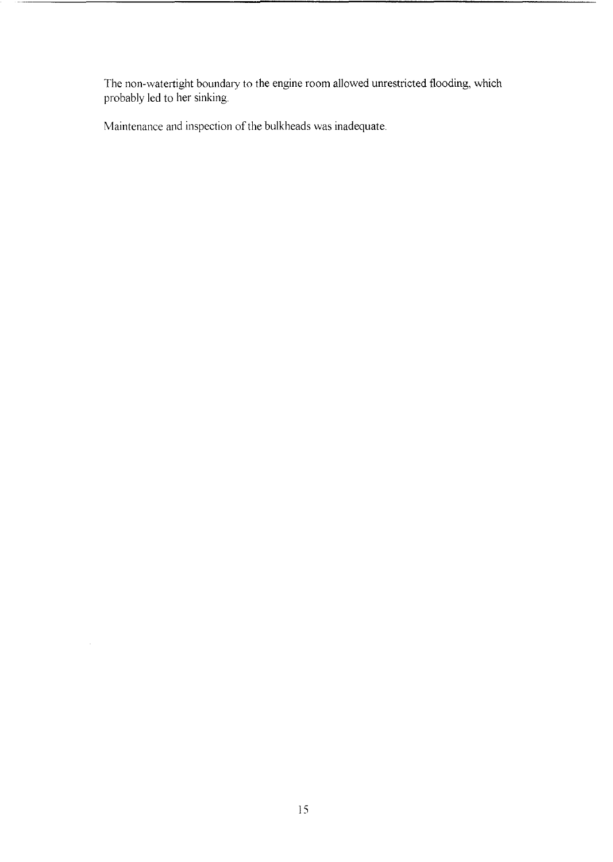The non-watertight boundary to the engine room allowed unrestricted flooding, which probably led to her sinking.

Maintenance and inspection of the bulkheads was inadequate.

 $\mathcal{A}^{\mathcal{A}}$